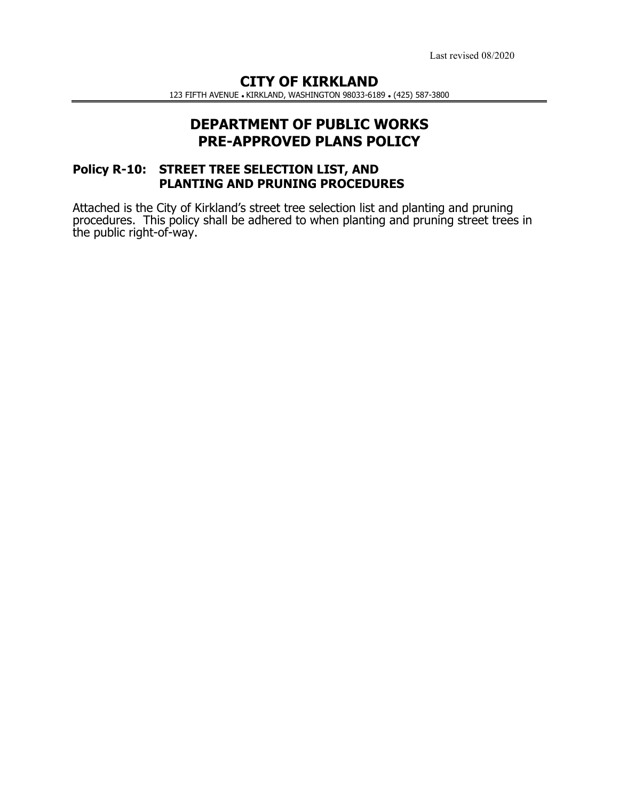Last revised 08/2020

# **CITY OF KIRKLAND**

123 FIFTH AVENUE KIRKLAND, WASHINGTON 98033-6189 (425) 587-3800

# **DEPARTMENT OF PUBLIC WORKS PRE-APPROVED PLANS POLICY**

### **Policy R-10: STREET TREE SELECTION LIST, AND PLANTING AND PRUNING PROCEDURES**

Attached is the City of Kirkland's street tree selection list and planting and pruning procedures. This policy shall be adhered to when planting and pruning street trees in the public right-of-way.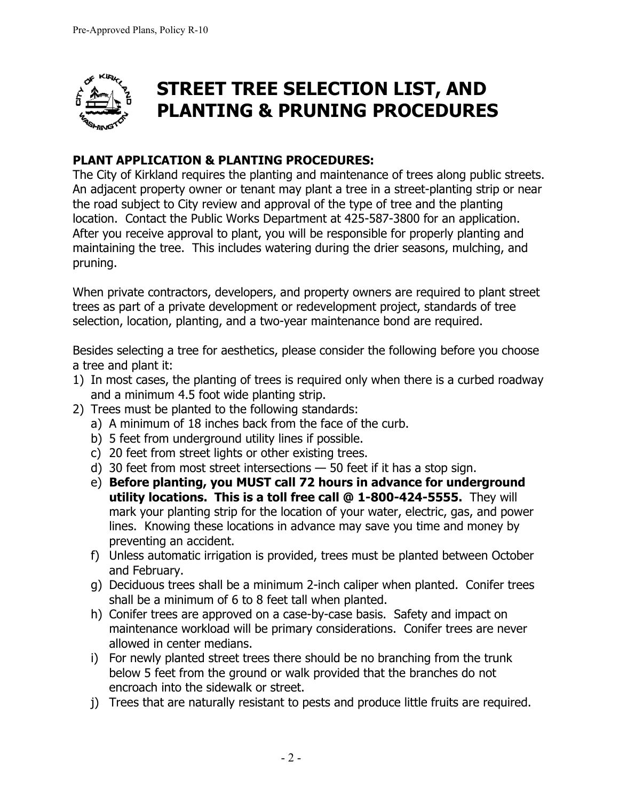

# **STREET TREE SELECTION LIST, AND PLANTING & PRUNING PROCEDURES**

# **PLANT APPLICATION & PLANTING PROCEDURES:**

The City of Kirkland requires the planting and maintenance of trees along public streets. An adjacent property owner or tenant may plant a tree in a street-planting strip or near the road subject to City review and approval of the type of tree and the planting location. Contact the Public Works Department at 425-587-3800 for an application. After you receive approval to plant, you will be responsible for properly planting and maintaining the tree. This includes watering during the drier seasons, mulching, and pruning.

When private contractors, developers, and property owners are required to plant street trees as part of a private development or redevelopment project, standards of tree selection, location, planting, and a two-year maintenance bond are required.

Besides selecting a tree for aesthetics, please consider the following before you choose a tree and plant it:

- 1) In most cases, the planting of trees is required only when there is a curbed roadway and a minimum 4.5 foot wide planting strip.
- 2) Trees must be planted to the following standards:
	- a) A minimum of 18 inches back from the face of the curb.
	- b) 5 feet from underground utility lines if possible.
	- c) 20 feet from street lights or other existing trees.
	- d) 30 feet from most street intersections 50 feet if it has a stop sign.
	- e) **Before planting, you MUST call 72 hours in advance for underground utility locations. This is a toll free call @ 1-800-424-5555.** They will mark your planting strip for the location of your water, electric, gas, and power lines. Knowing these locations in advance may save you time and money by preventing an accident.
	- f) Unless automatic irrigation is provided, trees must be planted between October and February.
	- g) Deciduous trees shall be a minimum 2-inch caliper when planted. Conifer trees shall be a minimum of 6 to 8 feet tall when planted.
	- h) Conifer trees are approved on a case-by-case basis. Safety and impact on maintenance workload will be primary considerations. Conifer trees are never allowed in center medians.
	- i) For newly planted street trees there should be no branching from the trunk below 5 feet from the ground or walk provided that the branches do not encroach into the sidewalk or street.
	- j) Trees that are naturally resistant to pests and produce little fruits are required.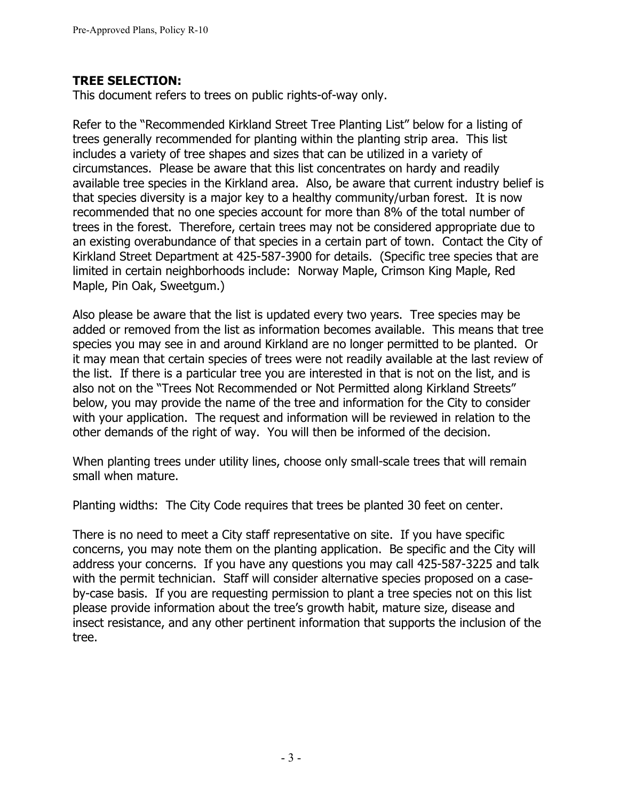### **TREE SELECTION:**

This document refers to trees on public rights-of-way only.

Refer to the "Recommended Kirkland Street Tree Planting List" below for a listing of trees generally recommended for planting within the planting strip area. This list includes a variety of tree shapes and sizes that can be utilized in a variety of circumstances. Please be aware that this list concentrates on hardy and readily available tree species in the Kirkland area. Also, be aware that current industry belief is that species diversity is a major key to a healthy community/urban forest. It is now recommended that no one species account for more than 8% of the total number of trees in the forest. Therefore, certain trees may not be considered appropriate due to an existing overabundance of that species in a certain part of town. Contact the City of Kirkland Street Department at 425-587-3900 for details. (Specific tree species that are limited in certain neighborhoods include: Norway Maple, Crimson King Maple, Red Maple, Pin Oak, Sweetgum.)

Also please be aware that the list is updated every two years. Tree species may be added or removed from the list as information becomes available. This means that tree species you may see in and around Kirkland are no longer permitted to be planted. Or it may mean that certain species of trees were not readily available at the last review of the list. If there is a particular tree you are interested in that is not on the list, and is also not on the "Trees Not Recommended or Not Permitted along Kirkland Streets" below, you may provide the name of the tree and information for the City to consider with your application. The request and information will be reviewed in relation to the other demands of the right of way. You will then be informed of the decision.

When planting trees under utility lines, choose only small-scale trees that will remain small when mature.

Planting widths: The City Code requires that trees be planted 30 feet on center.

There is no need to meet a City staff representative on site. If you have specific concerns, you may note them on the planting application. Be specific and the City will address your concerns. If you have any questions you may call 425-587-3225 and talk with the permit technician. Staff will consider alternative species proposed on a caseby-case basis. If you are requesting permission to plant a tree species not on this list please provide information about the tree's growth habit, mature size, disease and insect resistance, and any other pertinent information that supports the inclusion of the tree.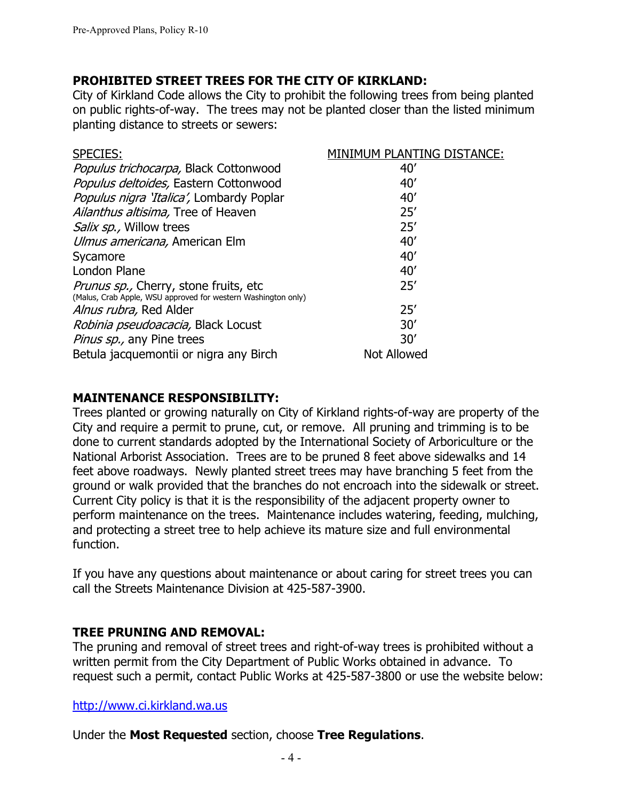### **PROHIBITED STREET TREES FOR THE CITY OF KIRKLAND:**

City of Kirkland Code allows the City to prohibit the following trees from being planted on public rights-of-way. The trees may not be planted closer than the listed minimum planting distance to streets or sewers:

| <b>SPECIES:</b>                                               | MINIMUM PLANTING DISTANCE: |
|---------------------------------------------------------------|----------------------------|
| Populus trichocarpa, Black Cottonwood                         | 40'                        |
| Populus deltoides, Eastern Cottonwood                         | 40'                        |
| Populus nigra 'Italica', Lombardy Poplar                      | 40'                        |
| Ailanthus altisima, Tree of Heaven                            | 25'                        |
| Salix sp., Willow trees                                       | 25'                        |
| Ulmus americana, American Elm                                 | 40'                        |
| Sycamore                                                      | 40'                        |
| London Plane                                                  | 40'                        |
| Prunus sp., Cherry, stone fruits, etc                         | 25'                        |
| (Malus, Crab Apple, WSU approved for western Washington only) |                            |
| Alnus rubra, Red Alder                                        | 25'                        |
| <i>Robinia pseudoacacia</i> , Black Locust                    | 30'                        |
| Pinus sp., any Pine trees                                     | 30'                        |
| Betula jacquemontii or nigra any Birch                        | <b>Not Allowed</b>         |

### **MAINTENANCE RESPONSIBILITY:**

Trees planted or growing naturally on City of Kirkland rights-of-way are property of the City and require a permit to prune, cut, or remove. All pruning and trimming is to be done to current standards adopted by the International Society of Arboriculture or the National Arborist Association. Trees are to be pruned 8 feet above sidewalks and 14 feet above roadways. Newly planted street trees may have branching 5 feet from the ground or walk provided that the branches do not encroach into the sidewalk or street. Current City policy is that it is the responsibility of the adjacent property owner to perform maintenance on the trees. Maintenance includes watering, feeding, mulching, and protecting a street tree to help achieve its mature size and full environmental function.

If you have any questions about maintenance or about caring for street trees you can call the Streets Maintenance Division at 425-587-3900.

### **TREE PRUNING AND REMOVAL:**

The pruning and removal of street trees and right-of-way trees is prohibited without a written permit from the City Department of Public Works obtained in advance. To request such a permit, contact Public Works at 425-587-3800 or use the website below:

http://www.ci.kirkland.wa.us

Under the **Most Requested** section, choose **Tree Regulations**.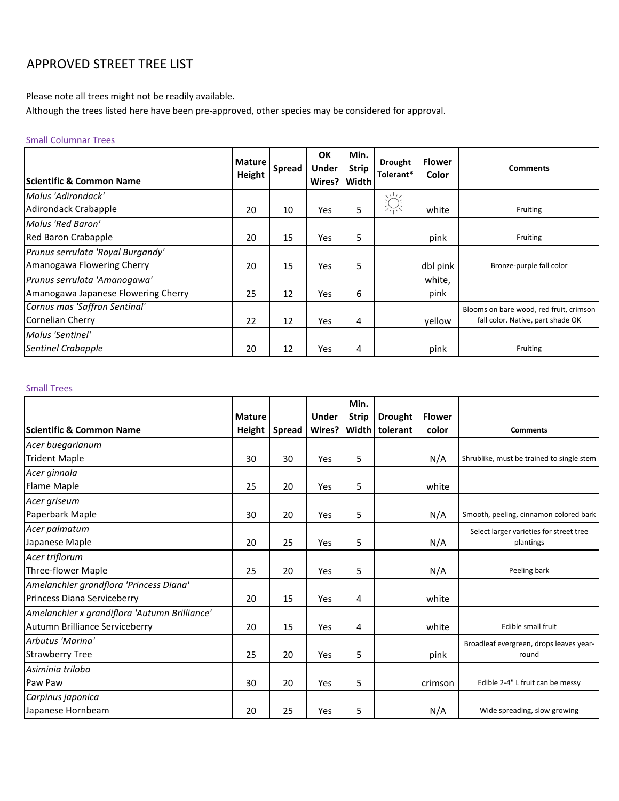# APPROVED STREET TREE LIST

Please note all trees might not be readily available.

Although the trees listed here have been pre-approved, other species may be considered for approval.

#### Small Columnar Trees

| <b>IScientific &amp; Common Name</b> | <b>Mature</b><br>Height | Spread | OK<br><b>Under</b><br>Wires? | Min.<br><b>Strip</b><br>Width | <b>Drought</b><br>Tolerant* | <b>Flower</b><br>Color | <b>Comments</b>                         |
|--------------------------------------|-------------------------|--------|------------------------------|-------------------------------|-----------------------------|------------------------|-----------------------------------------|
| Malus 'Adirondack'                   |                         |        |                              |                               | 淙                           |                        |                                         |
| Adirondack Crabapple                 | 20                      | 10     | Yes                          | 5                             |                             | white                  | Fruiting                                |
| Malus 'Red Baron'                    |                         |        |                              |                               |                             |                        |                                         |
| Red Baron Crabapple                  | 20                      | 15     | Yes                          | 5                             |                             | pink                   | Fruiting                                |
| Prunus serrulata 'Royal Burgandy'    |                         |        |                              |                               |                             |                        |                                         |
| Amanogawa Flowering Cherry           | 20                      | 15     | Yes                          | 5                             |                             | dbl pink               | Bronze-purple fall color                |
| Prunus serrulata 'Amanogawa'         |                         |        |                              |                               |                             | white,                 |                                         |
| Amanogawa Japanese Flowering Cherry  | 25                      | 12     | Yes                          | 6                             |                             | pink                   |                                         |
| Cornus mas 'Saffron Sentinal'        |                         |        |                              |                               |                             |                        | Blooms on bare wood, red fruit, crimson |
| Cornelian Cherry                     | 22                      | 12     | Yes                          | 4                             |                             | vellow                 | fall color. Native, part shade OK       |
| Malus 'Sentinel'                     |                         |        |                              |                               |                             |                        |                                         |
| <b>Sentinel Crabapple</b>            | 20                      | 12     | Yes                          | 4                             |                             | pink                   | Fruiting                                |

#### Small Trees

|                                               |               |               |              | Min.         |                |               |                                           |
|-----------------------------------------------|---------------|---------------|--------------|--------------|----------------|---------------|-------------------------------------------|
|                                               | <b>Mature</b> |               | <b>Under</b> | <b>Strip</b> | <b>Drought</b> | <b>Flower</b> |                                           |
| Scientific & Common Name                      | Height        | <b>Spread</b> | Wires?       |              | Width tolerant | color         | <b>Comments</b>                           |
| Acer buegarianum                              |               |               |              |              |                |               |                                           |
| <b>Trident Maple</b>                          | 30            | 30            | Yes          | 5            |                | N/A           | Shrublike, must be trained to single stem |
| Acer ginnala                                  |               |               |              |              |                |               |                                           |
| Flame Maple                                   | 25            | 20            | Yes          | 5            |                | white         |                                           |
| Acer griseum                                  |               |               |              |              |                |               |                                           |
| Paperbark Maple                               | 30            | 20            | Yes          | 5            |                | N/A           | Smooth, peeling, cinnamon colored bark    |
| Acer palmatum                                 |               |               |              |              |                |               | Select larger varieties for street tree   |
| Japanese Maple                                | 20            | 25            | Yes          | 5            |                | N/A           | plantings                                 |
| Acer triflorum                                |               |               |              |              |                |               |                                           |
| Three-flower Maple                            | 25            | 20            | Yes          | 5            |                | N/A           | Peeling bark                              |
| Amelanchier grandflora 'Princess Diana'       |               |               |              |              |                |               |                                           |
| Princess Diana Serviceberry                   | 20            | 15            | Yes          | 4            |                | white         |                                           |
| Amelanchier x grandiflora 'Autumn Brilliance' |               |               |              |              |                |               |                                           |
| Autumn Brilliance Serviceberry                | 20            | 15            | Yes          | 4            |                | white         | Edible small fruit                        |
| Arbutus 'Marina'                              |               |               |              |              |                |               | Broadleaf evergreen, drops leaves year-   |
| <b>Strawberry Tree</b>                        | 25            | 20            | Yes          | 5            |                | pink          | round                                     |
| Asiminia triloba                              |               |               |              |              |                |               |                                           |
| Paw Paw                                       | 30            | 20            | Yes          | 5            |                | crimson       | Edible 2-4" L fruit can be messy          |
| Carpinus japonica                             |               |               |              |              |                |               |                                           |
| Japanese Hornbeam                             | 20            | 25            | Yes          | 5            |                | N/A           | Wide spreading, slow growing              |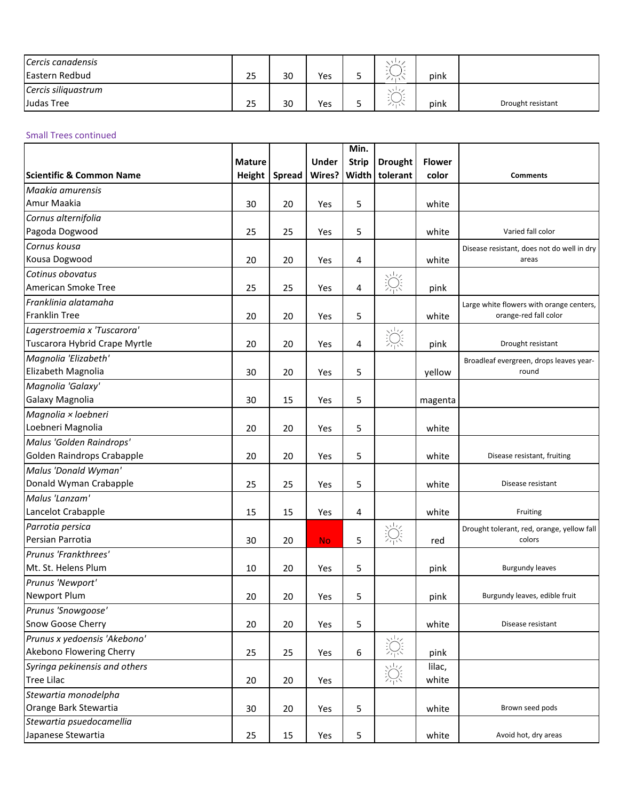| Cercis canadensis   |    |    |     |   | $\cdots$                         |      |                   |
|---------------------|----|----|-----|---|----------------------------------|------|-------------------|
| Eastern Redbud      | 25 | 30 | Yes |   |                                  | pink |                   |
| Cercis siliquastrum |    |    |     |   | $\vee$ <sup>11</sup>             |      |                   |
| Judas Tree          | 25 | 30 | Yes | ی | $\widetilde{\phantom{m}}$<br>111 | pink | Drought resistant |

#### Small Trees continued

|                                     |               |               |              | Min.         |                |               |                                            |
|-------------------------------------|---------------|---------------|--------------|--------------|----------------|---------------|--------------------------------------------|
|                                     | <b>Mature</b> |               | <b>Under</b> | <b>Strip</b> | <b>Drought</b> | <b>Flower</b> |                                            |
| <b>Scientific &amp; Common Name</b> | <b>Height</b> | <b>Spread</b> | Wires?       | Width        | tolerant       | color         | <b>Comments</b>                            |
| Maakia amurensis                    |               |               |              |              |                |               |                                            |
| Amur Maakia                         | 30            | 20            | Yes          | 5            |                | white         |                                            |
| Cornus alternifolia                 |               |               |              |              |                |               |                                            |
| Pagoda Dogwood                      | 25            | 25            | Yes          | 5            |                | white         | Varied fall color                          |
| Cornus kousa                        |               |               |              |              |                |               | Disease resistant, does not do well in dry |
| Kousa Dogwood                       | 20            | 20            | Yes          | 4            |                | white         | areas                                      |
| Cotinus obovatus                    |               |               |              |              | 澿              |               |                                            |
| American Smoke Tree                 | 25            | 25            | Yes          | 4            |                | pink          |                                            |
| Franklinia alatamaha                |               |               |              |              |                |               | Large white flowers with orange centers,   |
| <b>Franklin Tree</b>                | 20            | 20            | Yes          | 5            |                | white         | orange-red fall color                      |
| Lagerstroemia x 'Tuscarora'         |               |               |              |              | 淙              |               |                                            |
| Tuscarora Hybrid Crape Myrtle       | 20            | 20            | Yes          | 4            |                | pink          | Drought resistant                          |
| Magnolia 'Elizabeth'                |               |               |              |              |                |               | Broadleaf evergreen, drops leaves year-    |
| Elizabeth Magnolia                  | 30            | 20            | Yes          | 5            |                | yellow        | round                                      |
| Magnolia 'Galaxy'                   |               |               |              |              |                |               |                                            |
| Galaxy Magnolia                     | 30            | 15            | Yes          | 5            |                | magenta       |                                            |
| Magnolia × loebneri                 |               |               |              |              |                |               |                                            |
| Loebneri Magnolia                   | 20            | 20            | Yes          | 5            |                | white         |                                            |
| Malus 'Golden Raindrops'            |               |               |              |              |                |               |                                            |
| Golden Raindrops Crabapple          | 20            | 20            | Yes          | 5            |                | white         | Disease resistant, fruiting                |
| Malus 'Donald Wyman'                |               |               |              |              |                |               |                                            |
| Donald Wyman Crabapple              | 25            | 25            | Yes          | 5            |                | white         | Disease resistant                          |
| Malus 'Lanzam'                      |               |               |              |              |                |               |                                            |
| Lancelot Crabapple                  | 15            | 15            | Yes          | 4            |                | white         | Fruiting                                   |
| Parrotia persica                    |               |               |              |              |                |               | Drought tolerant, red, orange, yellow fall |
| Persian Parrotia                    | 30            | 20            | <b>No</b>    | 5            | 澿              | red           | colors                                     |
| Prunus 'Frankthrees'                |               |               |              |              |                |               |                                            |
| Mt. St. Helens Plum                 | 10            | 20            | Yes          | 5            |                | pink          | <b>Burgundy leaves</b>                     |
| Prunus 'Newport'                    |               |               |              |              |                |               |                                            |
| Newport Plum                        | 20            | 20            | Yes          | 5            |                | pink          | Burgundy leaves, edible fruit              |
| Prunus 'Snowgoose'                  |               |               |              |              |                |               |                                            |
| Snow Goose Cherry                   | 20            | 20            | Yes          | 5            |                | white         | Disease resistant                          |
| Prunus x yedoensis 'Akebono'        |               |               |              |              |                |               |                                            |
| Akebono Flowering Cherry            | 25            | 25            | Yes          | 6            | 浣              | pink          |                                            |
| Syringa pekinensis and others       |               |               |              |              |                | lilac,        |                                            |
| <b>Tree Lilac</b>                   | 20            | 20            | Yes          |              | 淙              | white         |                                            |
| Stewartia monodelpha                |               |               |              |              |                |               |                                            |
| Orange Bark Stewartia               | 30            | 20            | Yes          | 5            |                | white         | Brown seed pods                            |
| Stewartia psuedocamellia            |               |               |              |              |                |               |                                            |
| Japanese Stewartia                  | 25            | 15            | Yes          | 5            |                | white         | Avoid hot, dry areas                       |
|                                     |               |               |              |              |                |               |                                            |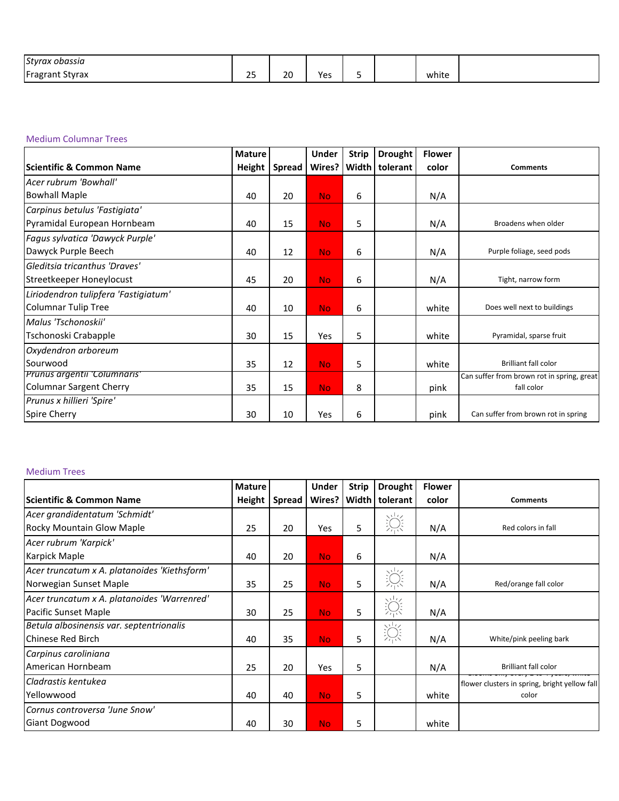| Styrax<br>: obassia<br>.          |                            |              |                                    |  |       |  |
|-----------------------------------|----------------------------|--------------|------------------------------------|--|-------|--|
| IE.<br>Fragre<br>: Styrax<br>rant | $\sim$ $\sim$<br>--<br>$-$ | 20<br>$\sim$ | $\ddot{\phantom{0}}$<br>Υρς<br>נ כ |  | white |  |

#### Medium Columnar Trees

|                                      | <b>Mature</b> |               | <b>Under</b> | <b>Strip</b> | <b>Drought</b> | <b>Flower</b> |                                            |
|--------------------------------------|---------------|---------------|--------------|--------------|----------------|---------------|--------------------------------------------|
| <b>Scientific &amp; Common Name</b>  | <b>Height</b> | <b>Spread</b> | Wires?       | Width        | tolerant       | color         | <b>Comments</b>                            |
| Acer rubrum 'Bowhall'                |               |               |              |              |                |               |                                            |
| <b>Bowhall Maple</b>                 | 40            | 20            | <b>No</b>    | 6            |                | N/A           |                                            |
| Carpinus betulus 'Fastigiata'        |               |               |              |              |                |               |                                            |
| Pyramidal European Hornbeam          | 40            | 15            | <b>No</b>    | 5            |                | N/A           | Broadens when older                        |
| Fagus sylvatica 'Dawyck Purple'      |               |               |              |              |                |               |                                            |
| Dawyck Purple Beech                  | 40            | 12            | <b>No</b>    | 6            |                | N/A           | Purple foliage, seed pods                  |
| Gleditsia tricanthus 'Draves'        |               |               |              |              |                |               |                                            |
| Streetkeeper Honeylocust             | 45            | 20            | <b>No</b>    | 6            |                | N/A           | Tight, narrow form                         |
| Liriodendron tulipfera 'Fastigiatum' |               |               |              |              |                |               |                                            |
| Columnar Tulip Tree                  | 40            | 10            | <b>No</b>    | 6            |                | white         | Does well next to buildings                |
| Malus 'Tschonoskii'                  |               |               |              |              |                |               |                                            |
| Tschonoski Crabapple                 | 30            | 15            | Yes          | 5            |                | white         | Pyramidal, sparse fruit                    |
| Oxydendron arboreum                  |               |               |              |              |                |               |                                            |
| Sourwood                             | 35            | 12            | <b>No</b>    | 5            |                | white         | <b>Brilliant fall color</b>                |
| <b>Prunus argentii Columnaris</b>    |               |               |              |              |                |               | Can suffer from brown rot in spring, great |
| Columnar Sargent Cherry              | 35            | 15            | <b>No</b>    | 8            |                | pink          | fall color                                 |
| Prunus x hillieri 'Spire'            |               |               |              |              |                |               |                                            |
| <b>Spire Cherry</b>                  | 30            | 10            | Yes          | 6            |                | pink          | Can suffer from brown rot in spring        |

#### Medium Trees

|                                              | <b>Mature</b> |               | <b>Under</b> | <b>Strip</b> | <b>Drought</b>    | <b>Flower</b> |                                               |
|----------------------------------------------|---------------|---------------|--------------|--------------|-------------------|---------------|-----------------------------------------------|
| <b>IScientific &amp; Common Name</b>         | Height        | <b>Spread</b> | Wires?       | <b>Width</b> | tolerant          | color         | <b>Comments</b>                               |
| Acer grandidentatum 'Schmidt'                |               |               |              |              |                   |               |                                               |
| Rocky Mountain Glow Maple                    | 25            | 20            | Yes          | 5            | 澿                 | N/A           | Red colors in fall                            |
| Acer rubrum 'Karpick'                        |               |               |              |              |                   |               |                                               |
| Karpick Maple                                | 40            | 20            | <b>No</b>    | 6            |                   | N/A           |                                               |
| Acer truncatum x A. platanoides 'Kiethsform' |               |               |              |              |                   |               |                                               |
| Norwegian Sunset Maple                       | 35            | 25            | <b>No</b>    | 5            | 泬                 | N/A           | Red/orange fall color                         |
| Acer truncatum x A. platanoides 'Warrenred'  |               |               |              |              | $\sqrt{1/\gamma}$ |               |                                               |
| Pacific Sunset Maple                         | 30            | 25            | <b>No</b>    | 5            | 漁                 | N/A           |                                               |
| Betula albosinensis var. septentrionalis     |               |               |              |              | 澿                 |               |                                               |
| <b>Chinese Red Birch</b>                     | 40            | 35            | <b>No</b>    | 5            |                   | N/A           | White/pink peeling bark                       |
| Carpinus caroliniana                         |               |               |              |              |                   |               |                                               |
| American Hornbeam                            | 25            | 20            | Yes          | 5            |                   | N/A           | <b>Brilliant fall color</b>                   |
| Cladrastis kentukea                          |               |               |              |              |                   |               | flower clusters in spring, bright yellow fall |
| Yellowwood                                   | 40            | 40            | <b>No</b>    | 5            |                   | white         | color                                         |
| Cornus controversa 'June Snow'               |               |               |              |              |                   |               |                                               |
| <b>Giant Dogwood</b>                         | 40            | 30            | <b>No</b>    | 5            |                   | white         |                                               |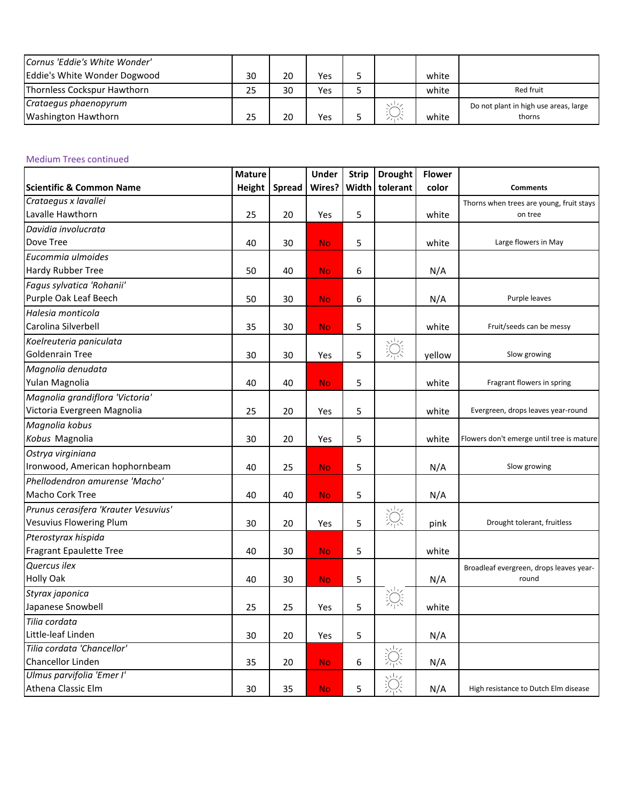| Cornus 'Eddie's White Wonder' |    |    |     |                      |       |                                       |
|-------------------------------|----|----|-----|----------------------|-------|---------------------------------------|
| Eddie's White Wonder Dogwood  | 30 | 20 | Yes |                      | white |                                       |
| Thornless Cockspur Hawthorn   | 25 | 30 | Yes |                      | white | Red fruit                             |
| Crataegus phaenopyrum         |    |    |     | $\frac{1}{2}$        |       | Do not plant in high use areas, large |
| Washington Hawthorn           | 25 | 20 | Yes | $\widetilde{\cdots}$ | white | thorns                                |

#### Medium Trees continued

|                                      | <b>Mature</b> |               | <b>Under</b> | <b>Strip</b> | <b>Drought</b> | <b>Flower</b> |                                           |
|--------------------------------------|---------------|---------------|--------------|--------------|----------------|---------------|-------------------------------------------|
| <b>Scientific &amp; Common Name</b>  | Height        | <b>Spread</b> | Wires?       | Width        | tolerant       | color         | <b>Comments</b>                           |
| Crataegus x lavallei                 |               |               |              |              |                |               | Thorns when trees are young, fruit stays  |
| Lavalle Hawthorn                     | 25            | 20            | Yes          | 5            |                | white         | on tree                                   |
| Davidia involucrata                  |               |               |              |              |                |               |                                           |
| Dove Tree                            | 40            | 30            | <b>No</b>    | 5            |                | white         | Large flowers in May                      |
| Eucommia ulmoides                    |               |               |              |              |                |               |                                           |
| Hardy Rubber Tree                    | 50            | 40            | <b>No</b>    | 6            |                | N/A           |                                           |
| Fagus sylvatica 'Rohanii'            |               |               |              |              |                |               |                                           |
| Purple Oak Leaf Beech                | 50            | 30            | <b>No</b>    | 6            |                | N/A           | Purple leaves                             |
| Halesia monticola                    |               |               |              |              |                |               |                                           |
| Carolina Silverbell                  | 35            | 30            | <b>No</b>    | 5            |                | white         | Fruit/seeds can be messy                  |
| Koelreuteria paniculata              |               |               |              |              |                |               |                                           |
| <b>Goldenrain Tree</b>               | 30            | 30            | Yes          | 5            | 泬              | yellow        | Slow growing                              |
| Magnolia denudata                    |               |               |              |              |                |               |                                           |
| Yulan Magnolia                       | 40            | 40            | <b>No</b>    | 5            |                | white         | Fragrant flowers in spring                |
| Magnolia grandiflora 'Victoria'      |               |               |              |              |                |               |                                           |
| Victoria Evergreen Magnolia          | 25            | 20            | Yes          | 5            |                | white         | Evergreen, drops leaves year-round        |
| Magnolia kobus                       |               |               |              |              |                |               |                                           |
| Kobus Magnolia                       | 30            | 20            | Yes          | 5            |                | white         | Flowers don't emerge until tree is mature |
| Ostrya virginiana                    |               |               |              |              |                |               |                                           |
| Ironwood, American hophornbeam       | 40            | 25            | <b>No</b>    | 5            |                | N/A           | Slow growing                              |
| Phellodendron amurense 'Macho'       |               |               |              |              |                |               |                                           |
| Macho Cork Tree                      | 40            | 40            | <b>No</b>    | 5            |                | N/A           |                                           |
| Prunus cerasifera 'Krauter Vesuvius' |               |               |              |              |                |               |                                           |
| Vesuvius Flowering Plum              | 30            | 20            | Yes          | 5            | 淙              | pink          | Drought tolerant, fruitless               |
| Pterostyrax hispida                  |               |               |              |              |                |               |                                           |
| <b>Fragrant Epaulette Tree</b>       | 40            | 30            | <b>No</b>    | 5            |                | white         |                                           |
| Quercus ilex                         |               |               |              |              |                |               | Broadleaf evergreen, drops leaves year-   |
| <b>Holly Oak</b>                     | 40            | 30            | <b>No</b>    | 5            |                | N/A           | round                                     |
| Styrax japonica                      |               |               |              |              |                |               |                                           |
| Japanese Snowbell                    | 25            | 25            | Yes          | 5            |                | white         |                                           |
| Tilia cordata                        |               |               |              |              |                |               |                                           |
| Little-leaf Linden                   | 30            | 20            | Yes          | 5            |                | N/A           |                                           |
| Tilia cordata 'Chancellor'           |               |               |              |              |                |               |                                           |
| Chancellor Linden                    | 35            | 20            | <b>No</b>    | 6            | 淙              | N/A           |                                           |
| Ulmus parvifolia 'Emer I'            |               |               |              |              |                |               |                                           |
| Athena Classic Elm                   | 30            | 35            | <b>No</b>    | 5            | 淙              | N/A           | High resistance to Dutch Elm disease      |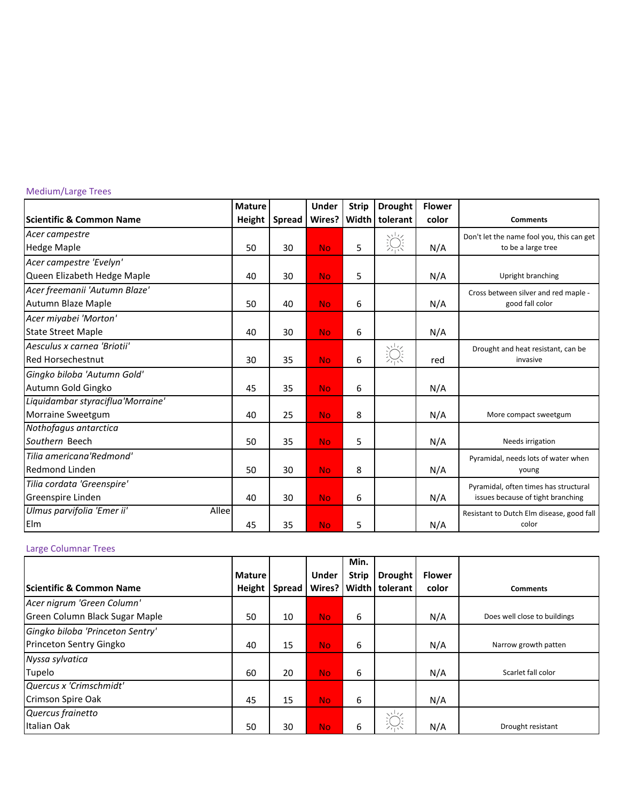### Medium/Large Trees

|                                     | <b>Mature</b> |               | Under     | <b>Strip</b> | <b>Drought</b> | <b>Flower</b> |                                           |
|-------------------------------------|---------------|---------------|-----------|--------------|----------------|---------------|-------------------------------------------|
| <b>Scientific &amp; Common Name</b> | Height        | <b>Spread</b> | Wires?    | Width        | tolerant       | color         | <b>Comments</b>                           |
| Acer campestre                      |               |               |           |              |                |               | Don't let the name fool you, this can get |
| <b>Hedge Maple</b>                  | 50            | 30            | <b>No</b> | 5            | 澿              | N/A           | to be a large tree                        |
| Acer campestre 'Evelyn'             |               |               |           |              |                |               |                                           |
| Queen Elizabeth Hedge Maple         | 40            | 30            | <b>No</b> | 5            |                | N/A           | Upright branching                         |
| Acer freemanii 'Autumn Blaze'       |               |               |           |              |                |               | Cross between silver and red maple -      |
| Autumn Blaze Maple                  | 50            | 40            | <b>No</b> | 6            |                | N/A           | good fall color                           |
| Acer miyabei 'Morton'               |               |               |           |              |                |               |                                           |
| <b>State Street Maple</b>           | 40            | 30            | <b>No</b> | 6            |                | N/A           |                                           |
| Aesculus x carnea 'Briotii'         |               |               |           |              |                |               | Drought and heat resistant, can be        |
| <b>Red Horsechestnut</b>            | 30            | 35            | <b>No</b> | 6            | 淙              | red           | invasive                                  |
| Gingko biloba 'Autumn Gold'         |               |               |           |              |                |               |                                           |
| Autumn Gold Gingko                  | 45            | 35            | <b>No</b> | 6            |                | N/A           |                                           |
| Liquidambar styraciflua'Morraine'   |               |               |           |              |                |               |                                           |
| <b>Morraine Sweetgum</b>            | 40            | 25            | <b>No</b> | 8            |                | N/A           | More compact sweetgum                     |
| Nothofagus antarctica               |               |               |           |              |                |               |                                           |
| Southern Beech                      | 50            | 35            | <b>No</b> | 5            |                | N/A           | Needs irrigation                          |
| Tilia americana'Redmond'            |               |               |           |              |                |               | Pyramidal, needs lots of water when       |
| <b>Redmond Linden</b>               | 50            | 30            | <b>No</b> | 8            |                | N/A           | young                                     |
| Tilia cordata 'Greenspire'          |               |               |           |              |                |               | Pyramidal, often times has structural     |
| Greenspire Linden                   | 40            | 30            | <b>No</b> | 6            |                | N/A           | issues because of tight branching         |
| Allee<br>Ulmus parvifolia 'Emer ii' |               |               |           |              |                |               | Resistant to Dutch Elm disease, good fall |
| Elm                                 | 45            | 35            | <b>No</b> | 5            |                | N/A           | color                                     |

#### Large Columnar Trees

|                                  |               |               |              | Min.         |                         |               |                              |
|----------------------------------|---------------|---------------|--------------|--------------|-------------------------|---------------|------------------------------|
|                                  | <b>Mature</b> |               | <b>Under</b> | <b>Strip</b> | <b>Drought</b>          | <b>Flower</b> |                              |
| lScientific & Common Name        | Height        | <b>Spread</b> |              |              | Wires? Width   tolerant | color         | <b>Comments</b>              |
| Acer nigrum 'Green Column'       |               |               |              |              |                         |               |                              |
| Green Column Black Sugar Maple   | 50            | 10            | No.          | 6            |                         | N/A           | Does well close to buildings |
| Gingko biloba 'Princeton Sentry' |               |               |              |              |                         |               |                              |
| Princeton Sentry Gingko          | 40            | 15            | No.          | 6            |                         | N/A           | Narrow growth patten         |
| Nyssa sylvatica                  |               |               |              |              |                         |               |                              |
| Tupelo                           | 60            | 20            | <b>No</b>    | 6            |                         | N/A           | Scarlet fall color           |
| Quercus x 'Crimschmidt'          |               |               |              |              |                         |               |                              |
| Crimson Spire Oak                | 45            | 15            | No.          | 6            |                         | N/A           |                              |
| Quercus frainetto                |               |               |              |              | $\frac{1}{2}$           |               |                              |
| Italian Oak                      | 50            | 30            | No.          | 6            | $\frac{1}{2}$           | N/A           | Drought resistant            |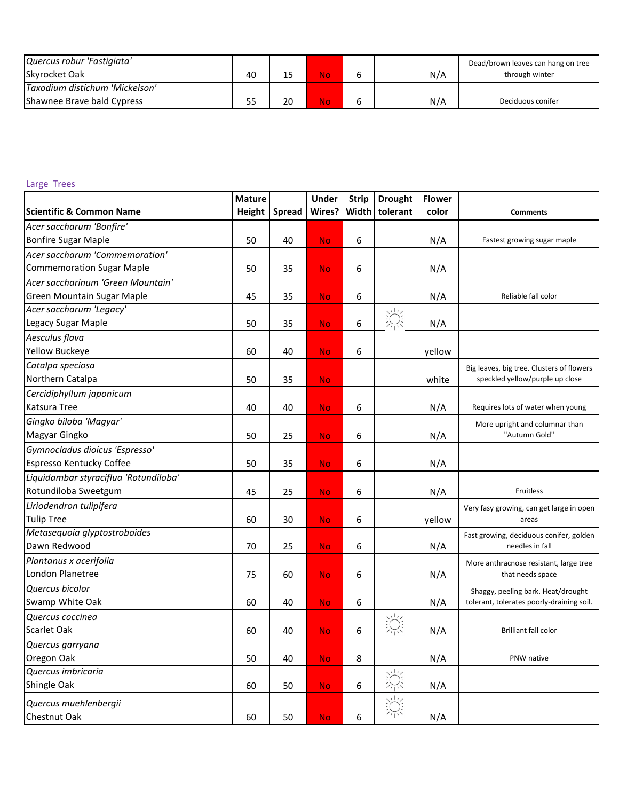| Quercus robur 'Fastigiata'     |    |    |     |  |     | Dead/brown leaves can hang on tree |
|--------------------------------|----|----|-----|--|-----|------------------------------------|
| <b>Skyrocket Oak</b>           | 40 | 15 | No\ |  | N/A | through winter                     |
| Taxodium distichum 'Mickelson' |    |    |     |  |     |                                    |
| Shawnee Brave bald Cypress     | 55 | 20 | No\ |  | N/A | Deciduous conifer                  |

### Large Trees

|                                       | <b>Mature</b> |               | <b>Under</b> | <b>Strip</b> | <b>Drought</b> | <b>Flower</b> |                                           |
|---------------------------------------|---------------|---------------|--------------|--------------|----------------|---------------|-------------------------------------------|
| <b>Scientific &amp; Common Name</b>   | Height        | <b>Spread</b> | Wires?       | Width        | tolerant       | color         | <b>Comments</b>                           |
| Acer saccharum 'Bonfire'              |               |               |              |              |                |               |                                           |
| <b>Bonfire Sugar Maple</b>            | 50            | 40            | <b>No</b>    | 6            |                | N/A           | Fastest growing sugar maple               |
| Acer saccharum 'Commemoration'        |               |               |              |              |                |               |                                           |
| <b>Commemoration Sugar Maple</b>      | 50            | 35            | <b>No</b>    | 6            |                | N/A           |                                           |
| Acer saccharinum 'Green Mountain'     |               |               |              |              |                |               |                                           |
| Green Mountain Sugar Maple            | 45            | 35            | <b>No</b>    | 6            |                | N/A           | Reliable fall color                       |
| Acer saccharum 'Legacy'               |               |               |              |              |                |               |                                           |
| Legacy Sugar Maple                    | 50            | 35            | <b>No</b>    | 6            | 泬              | N/A           |                                           |
| Aesculus flava                        |               |               |              |              |                |               |                                           |
| Yellow Buckeye                        | 60            | 40            | <b>No</b>    | 6            |                | yellow        |                                           |
| Catalpa speciosa                      |               |               |              |              |                |               | Big leaves, big tree. Clusters of flowers |
| Northern Catalpa                      | 50            | 35            | <b>No</b>    |              |                | white         | speckled yellow/purple up close           |
| Cercidiphyllum japonicum              |               |               |              |              |                |               |                                           |
| Katsura Tree                          | 40            | 40            | <b>No</b>    | 6            |                | N/A           | Requires lots of water when young         |
| Gingko biloba 'Magyar'                |               |               |              |              |                |               | More upright and columnar than            |
| Magyar Gingko                         | 50            | 25            | <b>No</b>    | 6            |                | N/A           | "Autumn Gold"                             |
| Gymnocladus dioicus 'Espresso'        |               |               |              |              |                |               |                                           |
| Espresso Kentucky Coffee              | 50            | 35            | <b>No</b>    | 6            |                | N/A           |                                           |
| Liquidambar styraciflua 'Rotundiloba' |               |               |              |              |                |               |                                           |
| Rotundiloba Sweetgum                  | 45            | 25            | <b>No</b>    | 6            |                | N/A           | Fruitless                                 |
| Liriodendron tulipifera               |               |               |              |              |                |               | Very fasy growing, can get large in open  |
| <b>Tulip Tree</b>                     | 60            | 30            | <b>No</b>    | 6            |                | yellow        | areas                                     |
| Metasequoia glyptostroboides          |               |               |              |              |                |               | Fast growing, deciduous conifer, golden   |
| Dawn Redwood                          | 70            | 25            | <b>No</b>    | 6            |                | N/A           | needles in fall                           |
| Plantanus x acerifolia                |               |               |              |              |                |               | More anthracnose resistant, large tree    |
| London Planetree                      | 75            | 60            | <b>No</b>    | 6            |                | N/A           | that needs space                          |
| Quercus bicolor                       |               |               |              |              |                |               | Shaggy, peeling bark. Heat/drought        |
| Swamp White Oak                       | 60            | 40            | <b>No</b>    | 6            |                | N/A           | tolerant, tolerates poorly-draining soil. |
| Quercus coccinea                      |               |               |              |              |                |               |                                           |
| Scarlet Oak                           | 60            | 40            | <b>No</b>    | 6            | 淙              | N/A           | <b>Brilliant fall color</b>               |
| Quercus garryana                      |               |               |              |              |                |               |                                           |
| Oregon Oak                            | 50            | 40            | <b>No</b>    | 8            |                | N/A           | PNW native                                |
| Quercus imbricaria                    |               |               |              |              |                |               |                                           |
| Shingle Oak                           | 60            | 50            | <b>No</b>    | 6            | 涂              | N/A           |                                           |
| Quercus muehlenbergii                 |               |               |              |              | 浣              |               |                                           |
| Chestnut Oak                          | 60            | 50            | <b>No</b>    | 6            |                | N/A           |                                           |
|                                       |               |               |              |              |                |               |                                           |